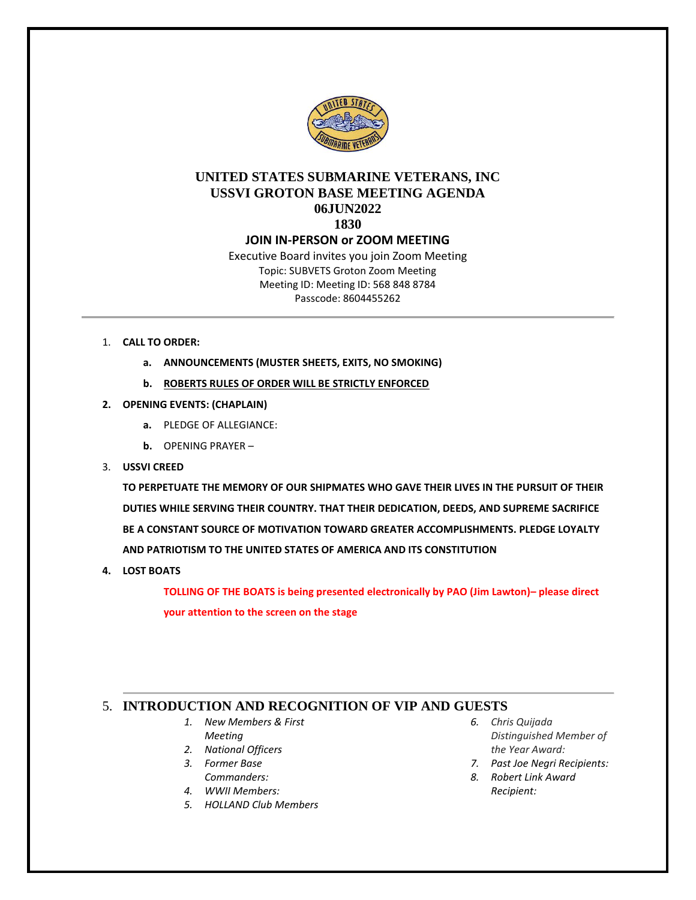

# **UNITED STATES SUBMARINE VETERANS, INC USSVI GROTON BASE MEETING AGENDA 06JUN2022 1830**

### **JOIN IN-PERSON or ZOOM MEETING**

Executive Board invites you join Zoom Meeting Topic: SUBVETS Groton Zoom Meeting Meeting ID: Meeting ID: 568 848 8784 Passcode: 8604455262

- 1. **CALL TO ORDER:** 
	- **a. ANNOUNCEMENTS (MUSTER SHEETS, EXITS, NO SMOKING)**
	- **b. ROBERTS RULES OF ORDER WILL BE STRICTLY ENFORCED**
- **2. OPENING EVENTS: (CHAPLAIN)**
	- **a.** PLEDGE OF ALLEGIANCE:
	- **b.** OPENING PRAYER –
- 3. **USSVI CREED**

**TO PERPETUATE THE MEMORY OF OUR SHIPMATES WHO GAVE THEIR LIVES IN THE PURSUIT OF THEIR DUTIES WHILE SERVING THEIR COUNTRY. THAT THEIR DEDICATION, DEEDS, AND SUPREME SACRIFICE BE A CONSTANT SOURCE OF MOTIVATION TOWARD GREATER ACCOMPLISHMENTS. PLEDGE LOYALTY AND PATRIOTISM TO THE UNITED STATES OF AMERICA AND ITS CONSTITUTION**

**4. LOST BOATS**

**TOLLING OF THE BOATS is being presented electronically by PAO (Jim Lawton)– please direct your attention to the screen on the stage**

# 5. **INTRODUCTION AND RECOGNITION OF VIP AND GUESTS**

- *1. New Members & First Meeting*
- *2. National Officers*
- *3. Former Base Commanders:*
- *4. WWII Members:*
- *5. HOLLAND Club Members*
- *6. [Chris Quijada](http://www.subvetsgroton.org/Lists/Chris%20Quijada%20Distinguished%20Member%20of%20the%20Year%20Awa/AllItems.aspx)  [Distinguished Member of](http://www.subvetsgroton.org/Lists/Chris%20Quijada%20Distinguished%20Member%20of%20the%20Year%20Awa/AllItems.aspx)  [the Year Award:](http://www.subvetsgroton.org/Lists/Chris%20Quijada%20Distinguished%20Member%20of%20the%20Year%20Awa/AllItems.aspx)*
- *7. Past Joe Negri Recipients:*
- *8. Robert Link Award Recipient:*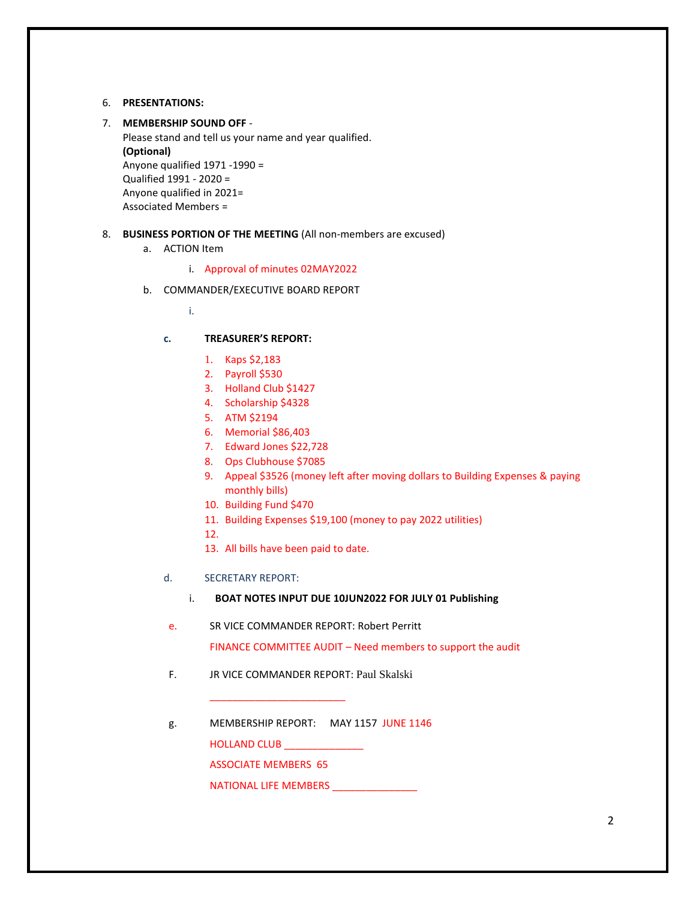#### 6. **PRESENTATIONS:**

#### 7. **MEMBERSHIP SOUND OFF** -

Please stand and tell us your name and year qualified. **(Optional)** Anyone qualified 1971 -1990 = Qualified 1991 - 2020 = Anyone qualified in 2021= Associated Members =

#### 8. **BUSINESS PORTION OF THE MEETING** (All non-members are excused)

- a. ACTION Item
	- i. Approval of minutes 02MAY2022
- b. COMMANDER/EXECUTIVE BOARD REPORT

i.

### **c. TREASURER'S REPORT:**

- 1. Kaps \$2,183
- 2. Payroll \$530
- 3. Holland Club \$1427
- 4. Scholarship \$4328
- 5. ATM \$2194
- 6. Memorial \$86,403
- 7. Edward Jones \$22,728
- 8. Ops Clubhouse \$7085
- 9. Appeal \$3526 (money left after moving dollars to Building Expenses & paying monthly bills)
- 10. Building Fund \$470
- 11. Building Expenses \$19,100 (money to pay 2022 utilities)
- 12.
- 13. All bills have been paid to date.
- d. SECRETARY REPORT:
	- i. **BOAT NOTES INPUT DUE 10JUN2022 FOR JULY 01 Publishing**
- e. SR VICE COMMANDER REPORT: Robert Perritt

FINANCE COMMITTEE AUDIT – Need members to support the audit

F. JR VICE COMMANDER REPORT: Paul Skalski

\_\_\_\_\_\_\_\_\_\_\_\_\_\_\_\_\_\_\_\_\_\_\_\_

g. MEMBERSHIP REPORT: MAY 1157 JUNE 1146 HOLLAND CLUB \_\_\_\_\_\_\_\_\_\_\_\_\_\_\_ ASSOCIATE MEMBERS 65

NATIONAL LIFE MEMBERS \_\_\_\_\_\_\_\_\_\_\_\_\_\_\_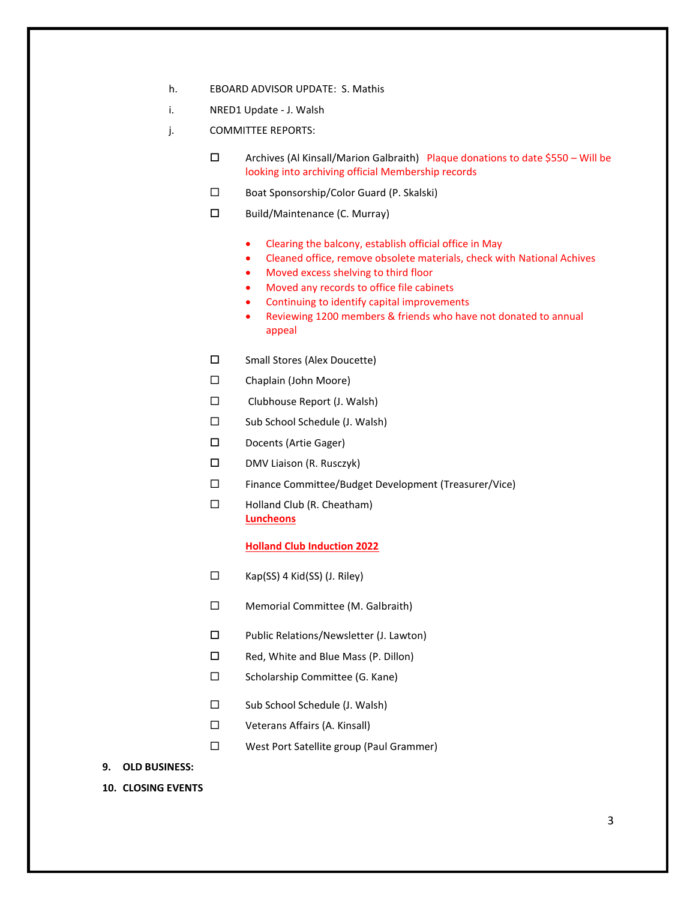- h. EBOARD ADVISOR UPDATE: S. Mathis
- i. NRED1 Update J. Walsh
- j. COMMITTEE REPORTS:
	- $\square$  Archives (Al Kinsall/Marion Galbraith) Plaque donations to date \$550 Will be looking into archiving official Membership records
	- Boat Sponsorship/Color Guard (P. Skalski)
	- $\square$  Build/Maintenance (C. Murray)
		- Clearing the balcony, establish official office in May
		- Cleaned office, remove obsolete materials, check with National Achives
		- Moved excess shelving to third floor
		- Moved any records to office file cabinets
		- Continuing to identify capital improvements
		- Reviewing 1200 members & friends who have not donated to annual appeal
	- □ Small Stores (Alex Doucette)
	- Chaplain (John Moore)
	- □ Clubhouse Report (J. Walsh)
	- $\square$  Sub School Schedule (J. Walsh)
	- Docents (Artie Gager)
	- $\square$  DMV Liaison (R. Rusczyk)
	- Finance Committee/Budget Development (Treasurer/Vice)
	- □ Holland Club (R. Cheatham) **Luncheons**

#### **Holland Club Induction 2022**

- $\square$  Kap(SS) 4 Kid(SS) (J. Riley)
- □ Memorial Committee (M. Galbraith)
- □ Public Relations/Newsletter (J. Lawton)
- $\square$  Red, White and Blue Mass (P. Dillon)
- $\square$  Scholarship Committee (G. Kane)
- $\square$  Sub School Schedule (J. Walsh)
- □ Veterans Affairs (A. Kinsall)
- West Port Satellite group (Paul Grammer)
- **9. OLD BUSINESS:**
- **10. CLOSING EVENTS**